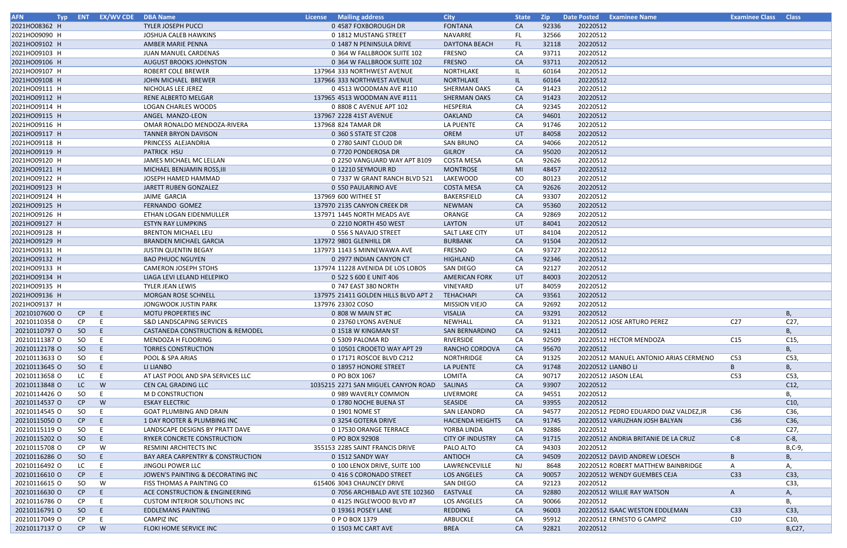| <b>AFN</b>    |                 | Typ ENT EX/WV CDE DBA Name |                                                               | License Mailing address               | <b>City</b>             | <b>State</b> | <b>Zip</b>     | <b>Date Posted</b> | <b>Examinee Name</b>                                                    | <b>Examinee Class</b> | <b>Class</b> |
|---------------|-----------------|----------------------------|---------------------------------------------------------------|---------------------------------------|-------------------------|--------------|----------------|--------------------|-------------------------------------------------------------------------|-----------------------|--------------|
| 2021HO08362 H |                 |                            | <b>TYLER JOSEPH PUCCI</b>                                     | 0 4587 FOXBOROUGH DR                  | <b>FONTANA</b>          | CA           | 92336          | 20220512           |                                                                         |                       |              |
| 2021HO09090 H |                 |                            | JOSHUA CALEB HAWKINS                                          | 0 1812 MUSTANG STREET                 | <b>NAVARRE</b>          | FL           | 32566          | 20220512           |                                                                         |                       |              |
| 2021HO09102 H |                 |                            | AMBER MARIE PENNA                                             | 0 1487 N PENINSULA DRIVE              | <b>DAYTONA BEACH</b>    | FL.          | 32118          | 20220512           |                                                                         |                       |              |
| 2021HO09103 H |                 |                            | JUAN MANUEL CARDENAS                                          | 0 364 W FALLBROOK SUITE 102           | <b>FRESNO</b>           | CA           | 93711          | 20220512           |                                                                         |                       |              |
| 2021HO09106 H |                 |                            | <b>AUGUST BROOKS JOHNSTON</b>                                 | 0 364 W FALLBROOK SUITE 102           | <b>FRESNO</b>           | CA           | 93711          | 20220512           |                                                                         |                       |              |
| 2021HO09107 H |                 |                            | ROBERT COLE BREWER                                            | 137964 333 NORTHWEST AVENUE           | NORTHLAKE               | IL.          | 60164          | 20220512           |                                                                         |                       |              |
| 2021HO09108 H |                 |                            | JOHN MICHAEL BREWER                                           | 137966 333 NORTHWEST AVENUE           | NORTHLAKE               | IL.          | 60164          | 20220512           |                                                                         |                       |              |
| 2021HO09111 H |                 |                            | NICHOLAS LEE JEREZ                                            | 0 4513 WOODMAN AVE #110               | <b>SHERMAN OAKS</b>     | CA           | 91423          | 20220512           |                                                                         |                       |              |
| 2021HO09112 H |                 |                            | RENE ALBERTO MELGAR                                           | 137965 4513 WOODMAN AVE #111          | <b>SHERMAN OAKS</b>     | CA           | 91423          | 20220512           |                                                                         |                       |              |
|               |                 |                            | <b>LOGAN CHARLES WOODS</b>                                    |                                       |                         |              |                | 20220512           |                                                                         |                       |              |
| 2021HO09114 H |                 |                            |                                                               | 0 8808 C AVENUE APT 102               | HESPERIA                | CA           | 92345          |                    |                                                                         |                       |              |
| 2021HO09115 H |                 |                            | ANGEL MANZO-LEON                                              | 137967 2228 41ST AVENUE               | <b>OAKLAND</b>          | CA           | 94601          | 20220512           |                                                                         |                       |              |
| 2021HO09116 H |                 |                            | OMAR RONALDO MENDOZA-RIVERA                                   | 137968 824 TAMAR DR                   | LA PUENTE               | CA           | 91746          | 20220512           |                                                                         |                       |              |
| 2021HO09117 H |                 |                            | <b>TANNER BRYON DAVISON</b>                                   | 0 360 S STATE ST C208                 | <b>OREM</b>             | UT           | 84058          | 20220512           |                                                                         |                       |              |
| 2021HO09118 H |                 |                            | PRINCESS ALEJANDRIA                                           | 0 2780 SAINT CLOUD DR                 | <b>SAN BRUNO</b>        | CA           | 94066          | 20220512           |                                                                         |                       |              |
| 2021HO09119 H |                 |                            | <b>PATRICK HSU</b>                                            | 0 7720 PONDEROSA DR                   | <b>GILROY</b>           | CA           | 95020          | 20220512           |                                                                         |                       |              |
| 2021HO09120 H |                 |                            | JAMES MICHAEL MC LELLAN                                       | 0 2250 VANGUARD WAY APT B109          | <b>COSTA MESA</b>       | CA           | 92626          | 20220512           |                                                                         |                       |              |
| 2021HO09121 H |                 |                            | MICHAEL BENJAMIN ROSS, III                                    | 0 12210 SEYMOUR RD                    | <b>MONTROSE</b>         | MI           | 48457          | 20220512           |                                                                         |                       |              |
| 2021HO09122 H |                 |                            | JOSEPH HAMED HAMMAD                                           | 0 7337 W GRANT RANCH BLVD 521         | LAKEWOOD                | CO           | 80123          | 20220512           |                                                                         |                       |              |
| 2021HO09123 H |                 |                            | JARETT RUBEN GONZALEZ                                         | 0 550 PAULARINO AVE                   | <b>COSTA MESA</b>       | CA           | 92626          | 20220512           |                                                                         |                       |              |
| 2021HO09124 H |                 |                            | JAIME GARCIA                                                  | 137969 600 WITHEE ST                  | BAKERSFIELD             | CA           | 93307          | 20220512           |                                                                         |                       |              |
| 2021HO09125 H |                 |                            | <b>FERNANDO GOMEZ</b>                                         | 137970 2135 CANYON CREEK DR           | <b>NEWMAN</b>           | CA           | 95360          | 20220512           |                                                                         |                       |              |
| 2021HO09126 H |                 |                            | ETHAN LOGAN EIDENMULLER                                       | 137971 1445 NORTH MEADS AVE           | ORANGE                  | CA           | 92869          | 20220512           |                                                                         |                       |              |
| 2021HO09127 H |                 |                            | <b>ESTYN RAY LUMPKINS</b>                                     | 0 2210 NORTH 450 WEST                 | LAYTON                  | UT           | 84041          | 20220512           |                                                                         |                       |              |
| 2021HO09128 H |                 |                            | <b>BRENTON MICHAEL LEU</b>                                    | 0 556 S NAVAJO STREET                 | SALT LAKE CITY          | UT           | 84104          | 20220512           |                                                                         |                       |              |
| 2021HO09129 H |                 |                            | <b>BRANDEN MICHAEL GARCIA</b>                                 | 137972 9801 GLENHILL DR               | <b>BURBANK</b>          | CA           | 91504          | 20220512           |                                                                         |                       |              |
| 2021HO09131 H |                 |                            | <b>JUSTIN QUENTIN BEGAY</b>                                   | 137973 1143 S MINNEWAWA AVE           | <b>FRESNO</b>           | CA           | 93727          | 20220512           |                                                                         |                       |              |
| 2021HO09132 H |                 |                            | <b>BAO PHUOC NGUYEN</b>                                       | 0 2977 INDIAN CANYON CT               | <b>HIGHLAND</b>         | CA           | 92346          | 20220512           |                                                                         |                       |              |
| 2021HO09133 H |                 |                            | <b>CAMERON JOSEPH STOHS</b>                                   | 137974 11228 AVENIDA DE LOS LOBOS     | SAN DIEGO               | CA           | 92127          | 20220512           |                                                                         |                       |              |
| 2021HO09134 H |                 |                            | LIAGA LEVI LELAND HELEPIKO                                    | 0 522 S 600 E UNIT 406                | <b>AMERICAN FORK</b>    | UT           | 84003          | 20220512           |                                                                         |                       |              |
| 2021HO09135 H |                 |                            | <b>TYLER JEAN LEWIS</b>                                       | 0 747 EAST 380 NORTH                  | VINEYARD                | UT           | 84059          | 20220512           |                                                                         |                       |              |
| 2021HO09136 H |                 |                            | MORGAN ROSE SCHNELL                                           | 137975 21411 GOLDEN HILLS BLVD APT 2  | <b>TEHACHAPI</b>        | CA           | 93561          | 20220512           |                                                                         |                       |              |
| 2021HO09137 H |                 |                            | JONGWOOK JUSTIN PARK                                          | 137976 23302 COSO                     | <b>MISSION VIEJO</b>    | CA           | 92692          | 20220512           |                                                                         |                       |              |
| 20210107600 O | CP              | E.                         | MOTU PROPERTIES INC                                           | 0 808 W MAIN ST #C                    | <b>VISALIA</b>          | CA           | 93291          | 20220512           |                                                                         |                       | В,           |
| 20210110358 O | CP.             |                            | S&D LANDSCAPING SERVICES                                      | 0 23760 LYONS AVENUE                  | NEWHALL                 | CA           | 91321          |                    | 20220512 JOSE ARTURO PEREZ                                              | C <sub>27</sub>       | C27,         |
| 20210110797 0 | SO.             | E                          | <b>CASTANEDA CONSTRUCTION &amp; REMODEL</b>                   | 0 1518 W KINGMAN ST                   | <b>SAN BERNARDINO</b>   | CA           | 92411          | 20220512           |                                                                         |                       | В,           |
| 20210111387 O | SO              | E.                         | MENDOZA H FLOORING                                            | 0 5309 PALOMA RD                      | RIVERSIDE               | CA           | 92509          |                    | 20220512 HECTOR MENDOZA                                                 | C15                   | C15,         |
| 20210112178 O | SO <sub>1</sub> |                            | <b>TORRES CONSTRUCTION</b>                                    | 0 10501 CROOETO WAY APT 29            | RANCHO CORDOVA          | CA           | 95670          | 20220512           |                                                                         |                       | <b>B</b> ,   |
| 20210113633 O | SO              |                            | POOL & SPA ARIAS                                              | 0 17171 ROSCOE BLVD C212              | NORTHRIDGE              | CA           | 91325          |                    | 20220512 MANUEL ANTONIO ARIAS CERMENO                                   | C53                   | C53,         |
| 20210113645 O | SO              |                            | LI LIANBO                                                     | 0 18957 HONORE STREET                 | LA PUENTE               | CA           | 91748          | 20220512 LIANBO LI |                                                                         | <sup>B</sup>          | Β,           |
| 20210113658 O | LC              | -E                         | AT LAST POOL AND SPA SERVICES LLC                             | 0 PO BOX 1067                         | LOMITA                  | CA           | 90717          |                    | 20220512 JASON LEAL                                                     | C53                   | C53,         |
| 20210113848 O | LC.             | W                          | CEN CAL GRADING LLC                                           | 1035215 2271 SAN MIGUEL CANYON ROAD   | SALINAS                 | CA           | 93907          | 20220512           |                                                                         |                       | C12,         |
| 20210114426 O | SO              | E.                         | M D CONSTRUCTION                                              | 0 989 WAVERLY COMMON                  | LIVERMORE               | CA           | 94551          | 20220512           |                                                                         |                       | В,           |
| 20210114537 O | CP              | W                          | <b>ESKAY ELECTRIC</b>                                         | 0 1780 NOCHE BUENA ST                 | <b>SEASIDE</b>          | CA           | 93955          | 20220512           |                                                                         |                       | C10,         |
| 20210114545 O | SO              |                            |                                                               |                                       | <b>SAN LEANDRO</b>      |              |                |                    |                                                                         |                       | C36,         |
| 20210115050 O | CP              |                            | <b>GOAT PLUMBING AND DRAIN</b><br>1 DAY ROOTER & PLUMBING INC | 0 1901 NOME ST<br>0 3254 GOTERA DRIVE | <b>HACIENDA HEIGHTS</b> | CA           | 94577<br>91745 |                    | 20220512 PEDRO EDUARDO DIAZ VALDEZ, JR<br>20220512 VARUZHAN JOSH BALYAN | C36<br>C36            | C36,         |
| 20210115119 O |                 |                            |                                                               |                                       |                         | CA           | 92886          | 20220512           |                                                                         |                       | C27,         |
|               | SO              |                            | LANDSCAPE DESIGNS BY PRATT DAVE                               | 0 17530 ORANGE TERRACE                | YORBA LINDA             | CA           |                |                    |                                                                         |                       |              |
| 20210115202 O | SO              | E                          | RYKER CONCRETE CONSTRUCTION                                   | 0 PO BOX 92908                        | <b>CITY OF INDUSTRY</b> | CA           | 91715          |                    | 20220512 ANDRIA BRITANIE DE LA CRUZ                                     | $C-8$                 | $C-8$ ,      |
| 20210115708 O | CP.             | W                          | RESMINI ARCHITECTS INC                                        | 355153 2285 SAINT FRANCIS DRIVE       | PALO ALTO               | CA           | 94303          | 20220512           |                                                                         |                       | B,C-9,       |
| 20210116286 O | SO              | E                          | BAY AREA CARPENTRY & CONSTRUCTION                             | 0 1512 SANDY WAY                      | <b>ANTIOCH</b>          | CA           | 94509          |                    | 20220512 DAVID ANDREW LOESCH                                            | $\overline{B}$        | Β,           |
| 20210116492 O | LC              | -E                         | JINGOLI POWER LLC                                             | 0 100 LENOX DRIVE, SUITE 100          | LAWRENCEVILLE           | NJ.          | 8648           |                    | 20220512 ROBERT MATTHEW BAINBRIDGE                                      |                       | Α,           |
| 20210116610 O | CP              | E                          | JOWEN'S PAINTING & DECORATING INC                             | 0 416 S CORONADO STREET               | <b>LOS ANGELES</b>      | CA           | 90057          |                    | 20220512 WENDY GUEMBES CEJA                                             | C <sub>33</sub>       | C33,         |
| 20210116615 O | SO              | W                          | FISS THOMAS A PAINTING CO                                     | 615406 3043 CHAUNCEY DRIVE            | SAN DIEGO               | CA           | 92123          | 20220512           |                                                                         |                       | C33,         |
| 20210116630 O | CP              | E                          | ACE CONSTRUCTION & ENGINEERING                                | 0 7056 ARCHIBALD AVE STE 102360       | EASTVALE                | CA           | 92880          |                    | 20220512 WILLIE RAY WATSON                                              | $\mathsf{A}$          | Α,           |
| 20210116786 O | CP.             |                            | <b>CUSTOM INTERIOR SOLUTIONS INC</b>                          | 0 4125 INGLEWOOD BLVD #7              | LOS ANGELES             | CA           | 90066          | 20220512           |                                                                         |                       | В,           |
| 20210116791 O | SO.             |                            | <b>EDDLEMANS PAINTING</b>                                     | 0 19361 POSEY LANE                    | <b>REDDING</b>          | CA           | 96003          |                    | 20220512 ISAAC WESTON EDDLEMAN                                          | C <sub>33</sub>       | C33,         |
| 20210117049 O | CP.             |                            | <b>CAMPIZ INC</b>                                             | 0 P O BOX 1379                        | ARBUCKLE                | CA           | 95912          |                    | 20220512 ERNESTO G CAMPIZ                                               | C10                   | C10,         |
| 20210117137 0 | CP              | W                          | FLOKI HOME SERVICE INC                                        | 0 1503 MC CART AVE                    | <b>BREA</b>             | CA           | 92821          | 20220512           |                                                                         |                       | B,C27,       |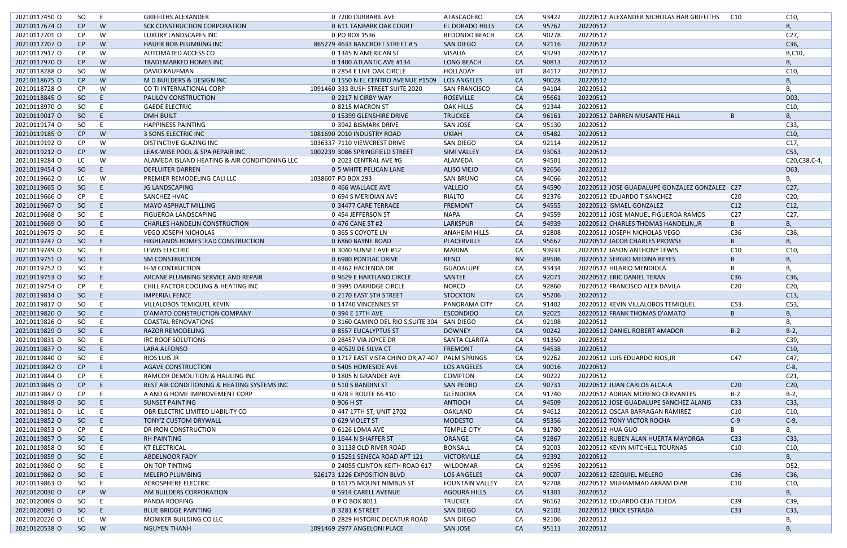| 20210117450 O | SO            | E. | <b>GRIFFITHS ALEXANDER</b>                    | 0 7200 CURBARIL AVE                             | ATASCADERO             | CA        | 93422          | 20220512 ALEXANDER NICHOLAS HAR GRIFFITHS     | C10             | C10,            |
|---------------|---------------|----|-----------------------------------------------|-------------------------------------------------|------------------------|-----------|----------------|-----------------------------------------------|-----------------|-----------------|
| 20210117674 O | CP            | W  | SCK CONSTRUCTION CORPORATION                  | 0 611 TANBARK OAK COURT                         | EL DORADO HILLS        | CA        | 95762          | 20220512                                      |                 | В,              |
| 20210117701 O | CP            | W  | LUXURY LANDSCAPES INC                         | 0 PO BOX 1536                                   | <b>REDONDO BEACH</b>   | CA        | 90278          | 20220512                                      |                 | C27,            |
| 20210117707 O | CP            | W  | HAUER BOB PLUMBING INC                        | 865279 4633 BANCROFT STREET # 5                 | <b>SAN DIEGO</b>       | CA        | 92116          | 20220512                                      |                 | C36,            |
| 20210117917 O | CP            | W  | AUTOMATED ACCESS CO                           | 0 1345 N AMERICAN ST                            | <b>VISALIA</b>         | CA        | 93291          | 20220512                                      |                 | B,C10,          |
| 20210117970 O | CP            | W  | <b>TRADEMARKED HOMES INC</b>                  | 0 1400 ATLANTIC AVE #134                        | <b>LONG BEACH</b>      | CA        | 90813          | 20220512                                      |                 | B,              |
| 20210118288 O | SO            | W  | DAVID KAUFMAN                                 | 0 2854 E LIVE OAK CIRCLE                        | HOLLADAY               | UT        | 84117          | 20220512                                      |                 | C10,            |
| 20210118675 O | CP            | W  | M D BUILDERS & DESIGN INC                     | 0 1550 N EL CENTRO AVENUE #1509 LOS ANGELES     |                        | CA        | 90028          | 20220512                                      |                 | Β,              |
| 20210118728 O | CP            | W  | CO TI INTERNATIONAL CORP                      | 1091460 333 BUSH STREET SUITE 2020              | <b>SAN FRANCISCO</b>   | CA        | 94104          | 20220512                                      |                 | В,              |
| 20210118845 O | <sub>SO</sub> | -E | <b>PAULOV CONSTRUCTION</b>                    | 0 2217 N CIRBY WAY                              | <b>ROSEVILLE</b>       | CA        | 95661          | 20220512                                      |                 | D03,            |
| 20210118970 O | SO            | -E | <b>GAEDE ELECTRIC</b>                         | 0 8215 MACRON ST                                | <b>OAK HILLS</b>       | CA        | 92344          | 20220512                                      |                 | C10,            |
| 20210119017 O | SO            | -E | <b>DMH BUILT</b>                              | 0 15399 GLENSHIRE DRIVE                         | <b>TRUCKEE</b>         | <b>CA</b> | 96161          | 20220512 DARREN MUSANTE HALL                  | B               | B,              |
| 20210119174 O | SO            | E  | <b>HAPPINESS PAINTING</b>                     | 0 3942 BISMARK DRIVE                            | <b>SAN JOSE</b>        | CA        | 95130          | 20220512                                      |                 | C33,            |
| 20210119185 O | CP            | W  | 3 SONS ELECTRIC INC                           | 1081690 2010 INDUSTRY ROAD                      | <b>UKIAH</b>           | CA        | 95482          | 20220512                                      |                 | C10,            |
| 20210119192 O | <b>CP</b>     | W  | DISTINCTIVE GLAZING INC                       | 1036337 7110 VIEWCREST DRIVE                    | SAN DIEGO              | CA        | 92114          | 20220512                                      |                 | C17,            |
| 20210119212 0 | CP            | W  | LEAK-WISE POOL & SPA REPAIR INC               | 1002239 3086 SPRINGFIELD STREET                 | <b>SIMI VALLEY</b>     | CA        | 93063          | 20220512                                      |                 | C53,            |
| 20210119284 O | LC            | W  | ALAMEDA ISLAND HEATING & AIR CONDITIONING LLC | 0 2023 CENTRAL AVE #G                           | ALAMEDA                | CA        | 94501          | 20220512                                      |                 | C20, C38, C-4,  |
| 20210119454 O | SO            | E  | <b>DEFLUITER DARREN</b>                       | 0 5 WHITE PELICAN LANE                          | <b>ALISO VIEJO</b>     | CA        | 92656          | 20220512                                      |                 | D63,            |
| 20210119662 O |               |    |                                               |                                                 |                        |           | 94066          | 20220512                                      |                 |                 |
|               | LC.           | W  | PREMIER REMODELING CALI LLC                   | 1038607 PO BOX 293                              | <b>SAN BRUNO</b>       | CA        |                |                                               |                 | В,              |
| 20210119665 O | <sub>SO</sub> | E  | JG LANDSCAPING                                | 0 466 WALLACE AVE                               | VALLEJO                | CA        | 94590          | 20220512 JOSE GUADALUPE GONZALEZ GONZALEZ C27 |                 | C27,            |
| 20210119666 O | <b>CP</b>     | E. | SANCHEZ HVAC                                  | 0 694 S MERIDIAN AVE                            | <b>RIALTO</b>          | CA        | 92376          | 20220512 EDUARDO T SANCHEZ                    | C <sub>20</sub> | C <sub>20</sub> |
| 20210119667 O | <sub>SO</sub> | E  | <b>MAYO ASPHALT MILLING</b>                   | 0 34477 CARE TERRACE                            | <b>FREMONT</b>         | CA        | 94555          | 20220512 ISMAEL GONZALEZ                      | C12             | C12,            |
| 20210119668 O | SO            | E  | FIGUEROA LANDSCAPING                          | 0 454 JEFFERSON ST                              | <b>NAPA</b>            | CA        | 94559          | 20220512 JOSE MANUEL FIGUEROA RAMOS           | C <sub>27</sub> | C27,            |
| 20210119669 O | SO            |    | <b>CHARLES HANDELIN CONSTRUCTION</b>          | 0 476 CANE ST #2                                | LARKSPUR               | CA        | 94939          | 20220512 CHARLES THOMAS HANDELIN, JR          |                 | B,              |
| 20210119675 O | SO            |    | VEGO JOSEPH NICHOLAS                          | 0 365 S COYOTE LN                               | <b>ANAHEIM HILLS</b>   | CA        | 92808          | 20220512 JOSEPH NICHOLAS VEGO                 | C36             | C36,            |
| 20210119747 O | <sub>SO</sub> | E  | HIGHLANDS HOMESTEAD CONSTRUCTION              | 0 6860 BAYNE ROAD                               | PLACERVILLE            | <b>CA</b> | 95667          | 20220512 JACOB CHARLES PROWSE                 |                 | B,              |
| 20210119749 O | SO            | -E | LEWIS ELECTRIC                                | 0 3040 SUNSET AVE #12                           | <b>MARINA</b>          | CA        | 93933          | 20220512 JASON ANTHONY LEWIS                  | C <sub>10</sub> | C10             |
| 20210119751 O | SO            | E  | <b>SM CONSTRUCTION</b>                        | 0 6980 PONTIAC DRIVE                            | <b>RENO</b>            | <b>NV</b> | 89506          | 20220512 SERGIO MEDINA REYES                  |                 | В,              |
| 20210119752 O | SO            | -E | <b>H-M CONTRUCTION</b>                        | 0 4362 HACIENDA DR                              | GUADALUPE              | CA        | 93434          | 20220512 HILARIO MENDIOLA                     |                 | В,              |
| 20210119753 O | SO            | -E | ARCANE PLUMBING SERVICE AND REPAIR            | 0 9629 E HARTLAND CIRCLE                        | SANTEE                 | CA        | 92071          | 20220512 ERIC DANIEL TERAN                    | C <sub>36</sub> | C36,            |
| 20210119754 O | <b>CP</b>     | -E | CHILL FACTOR COOLING & HEATING INC            | 0 3995 OAKRIDGE CIRCLE                          | <b>NORCO</b>           | CA        | 92860          | 20220512 FRANCISCO ALEX DAVILA                | C <sub>20</sub> | C20,            |
| 20210119814 O | SO            | E  | <b>IMPERIAL FENCE</b>                         | 0 2170 EAST 5TH STREET                          | <b>STOCKTON</b>        | CA        | 95206          | 20220512                                      |                 | C13,            |
| 20210119817 O | SO.           | -E | VILLALOBOS TEMIQUEL KEVIN                     | 0 14740 VINCENNES ST                            | PANORAMA CITY          | CA        | 91402          | 20220512 KEVIN VILLALOBOS TEMIQUEL            | C53             | C53,            |
| 20210119820 O | <sub>SO</sub> | -E | D'AMATO CONSTRUCTION COMPANY                  | 0 394 E 17TH AVE                                | <b>ESCONDIDO</b>       | <b>CA</b> | 92025          | 20220512 FRANK THOMAS D'AMATO                 | B               | B,              |
| 20210119826 O | SO            | E. | <b>COASTAL RENOVATIONS</b>                    | 0 3160 CAMINO DEL RIO S, SUITE 304 SAN DIEGO    |                        | CA        | 92108          | 20220512                                      |                 | В,              |
| 20210119829 O | SO            | -E | <b>RAZOR REMODELING</b>                       | 0 8557 EUCALYPTUS ST                            | <b>DOWNEY</b>          | CA        | 90242          | 20220512 DANIEL ROBERT AMADOR                 | $B-2$           | $B-2$           |
| 20210119831 O | SO            | -E | IRC ROOF SOLUTIONS                            | 0 28457 VIA JOYCE DR                            | SANTA CLARITA          | CA        | 91350          | 20220512                                      |                 | C39,            |
| 20210119837 O | SO            | E. | LARA ALFONSO                                  | 0 40529 DE SILVA CT                             | <b>FREMONT</b>         | CA        | 94538          | 20220512                                      |                 | C10,            |
| 20210119840 O | SO.           | -E | RIOS LUIS JR                                  | 0 1717 EAST VISTA CHINO DR, A7-407 PALM SPRINGS |                        | CA        | 92262          | 20220512 LUIS EDUARDO RIOS, JR                | C47             | C47,            |
| 20210119842 O | CP            | E  | <b>AGAVE CONSTRUCTION</b>                     | 0 5405 HOMESIDE AVE                             | <b>LOS ANGELES</b>     | CA        | 90016          | 20220512                                      |                 | $C-8$ ,         |
| 20210119844 O | CP.           | -E | RAMCOR DEMOLITION & HAULING INC               | 0 1805 N GRANDEE AVE                            | COMPTON                | CA        | 90222          | 20220512                                      |                 | C <sub>21</sub> |
| 20210119845 O | CP            | E  | BEST AIR CONDITIONING & HEATING SYSTEMS INC   | 0 510 S BANDINI ST                              | <b>SAN PEDRO</b>       | CA        | 90731          | 20220512 JUAN CARLOS ALCALA                   | C <sub>20</sub> | C <sub>20</sub> |
| 20210119847 O | CP            | -E | A AND G HOME IMPROVEMENT CORP                 | 0 428 E ROUTE 66 #10                            | <b>GLENDORA</b>        | CA        | 91740          | 20220512 ADRIAN MORENO CERVANTES              | $B-2$           | $B-2$ ,         |
| 20210119849 O | SO            | E  | <b>SUNSET PAINTING</b>                        | 0 906 H ST                                      | <b>ANTIOCH</b>         | CA        | 94509          | 20220512 JOSE GUADALUPE SANCHEZ ALANIS        | C <sub>33</sub> | C33,            |
| 20210119851 0 | LC.           | -E | OBR ELECTRIC LIMITED LIABILITY CO             | 0 447 17TH ST, UNIT 2702                        | OAKLAND                | CA        | 94612          | 20220512 OSCAR BARRAGAN RAMIREZ               | C10             | C10,            |
| 20210119852 O | SO            | E  | TONY'Z CUSTOM DRYWALL                         | 0 629 VIOLET ST                                 | <b>MODESTO</b>         | CA        | 95356          | 20220512 TONY VICTOR ROCHA                    | $C-9$           | $C-9$ ,         |
| 20210119853 O | CP.           | -E | DR IRON CONSTRUCTION                          | 0 6126 LOMA AVE                                 | <b>TEMPLE CITY</b>     | CA        | 91780          | 20220512 HUA GUO                              |                 | В,              |
| 20210119857 O | SO            | -E | <b>RH PAINTING</b>                            | 0 1644 N SHAFFER ST                             | ORANGE                 | CA        | 92867          | 20220512 RUBEN ALAN HUERTA MAYORGA            | C <sub>33</sub> | C33,            |
| 20210119858 O | SO            | -E | KT ELECTRICAL                                 | 0 31138 OLD RIVER ROAD                          | <b>BONSALL</b>         |           | 92003          | 20220512 KEVIN MITCHELL TOURNAS               | C10             | C10,            |
|               |               |    |                                               |                                                 |                        | CA        |                |                                               |                 |                 |
| 20210119859 O | SO<br>SO      | -E | <b>ABDELNOOR FADY</b>                         | 0 15251 SENECA ROAD APT 121                     | <b>VICTORVILLE</b>     | CA        | 92392<br>92595 | 20220512<br>20220512                          |                 | B,              |
| 20210119860 O |               | -E | ON TOP TINTING                                | 0 24055 CLINTON KEITH ROAD 617                  | WILDOMAR               | CA        |                |                                               |                 | D52,            |
| 20210119862 O | SO            | E  | MELERO PLUMBING                               | 526173 1226 EXPOSITION BLVD                     | <b>LOS ANGELES</b>     | CA        | 90007          | 20220512 EZEQUIEL MELERO                      | C <sub>36</sub> | C36,            |
| 20210119863 O | SO.           | -E | <b>AEROSPHERE ELECTRIC</b>                    | 0 16175 MOUNT NIMBUS ST                         | <b>FOUNTAIN VALLEY</b> | CA        | 92708          | 20220512 MUHAMMAD AKRAM DIAB                  | C10             | C10,            |
| 20210120030 O | CP            | W  | AM BUILDERS CORPORATION                       | 0 5914 CARELL AVENUE                            | AGOURA HILLS           | CA        | 91301          | 20220512                                      |                 | В,              |
| 20210120069 O | SO            | -E | PANDA ROOFING                                 | 0 P O BOX 8011                                  | <b>TRUCKEE</b>         | CA        | 96162          | 20220512 EDUARDO CEJA TEJEDA                  | C39             | C39,            |
| 20210120091 O | SO            | -E | <b>BLUE BRIDGE PAINTING</b>                   | 0 3281 K STREET                                 | <b>SAN DIEGO</b>       | CA        | 92102          | 20220512 ERICK ESTRADA                        | C <sub>33</sub> | C33,            |
| 20210120226 O | LC.           | W  | MONIKER BUILDING CO LLC                       | 0 2829 HISTORIC DECATUR ROAD                    | SAN DIEGO              | CA        | 92106          | 20220512                                      |                 | В,              |
| 20210120538 O | SO            | W  | <b>NGUYEN THANH</b>                           | 1091469 2977 ANGELONI PLACE                     | <b>SAN JOSE</b>        | CA        | 95111          | 20220512                                      |                 | B,              |